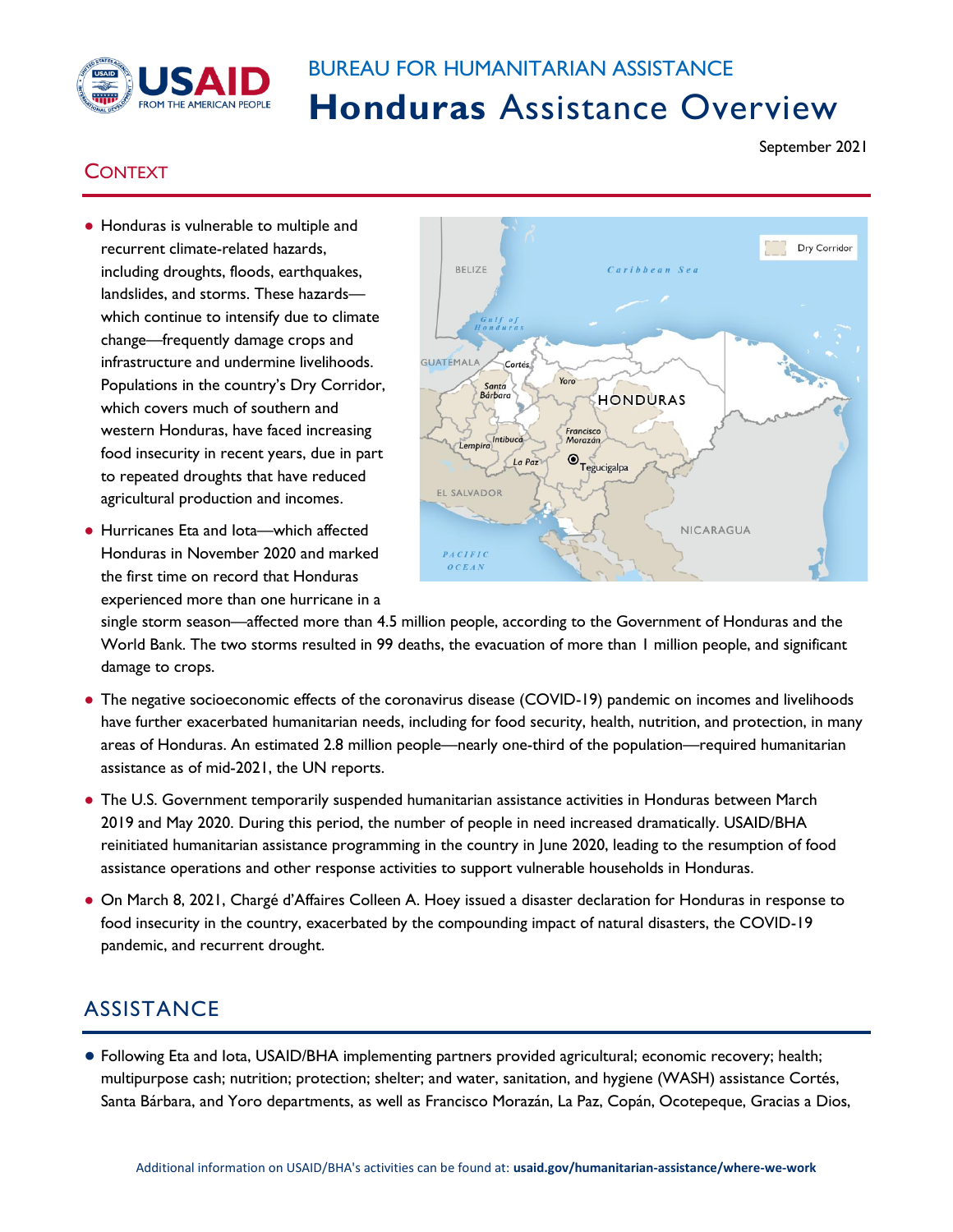

## BUREAU FOR HUMANITARIAN ASSISTANCE **Honduras** Assistance Overview

## September 2021

## **CONTEXT**

- Honduras is vulnerable to multiple and recurrent climate-related hazards, including droughts, floods, earthquakes, landslides, and storms. These hazards which continue to intensify due to climate change—frequently damage crops and infrastructure and undermine livelihoods. Populations in the country's Dry Corridor, which covers much of southern and western Honduras, have faced increasing food insecurity in recent years, due in part to repeated droughts that have reduced agricultural production and incomes.
- Hurricanes Eta and lota—which affected Honduras in November 2020 and marked the first time on record that Honduras experienced more than one hurricane in a



single storm season—affected more than 4.5 million people, according to the Government of Honduras and the World Bank. The two storms resulted in 99 deaths, the evacuation of more than 1 million people, and significant damage to crops.

- The negative socioeconomic effects of the coronavirus disease (COVID-19) pandemic on incomes and livelihoods have further exacerbated humanitarian needs, including for food security, health, nutrition, and protection, in many areas of Honduras. An estimated 2.8 million people—nearly one-third of the population—required humanitarian assistance as of mid-2021, the UN reports.
- The U.S. Government temporarily suspended humanitarian assistance activities in Honduras between March 2019 and May 2020. During this period, the number of people in need increased dramatically. USAID/BHA reinitiated humanitarian assistance programming in the country in June 2020, leading to the resumption of food assistance operations and other response activities to support vulnerable households in Honduras.
- On March 8, 2021, Chargé d'Affaires Colleen A. Hoey issued a disaster declaration for Honduras in response to food insecurity in the country, exacerbated by the compounding impact of natural disasters, the COVID-19 pandemic, and recurrent drought.

## **ASSISTANCE**

● Following Eta and Iota, USAID/BHA implementing partners provided agricultural; economic recovery; health; multipurpose cash; nutrition; protection; shelter; and water, sanitation, and hygiene (WASH) assistance Cortés, Santa Bárbara, and Yoro departments, as well as Francisco Morazán, La Paz, Copán, Ocotepeque, Gracias a Dios,